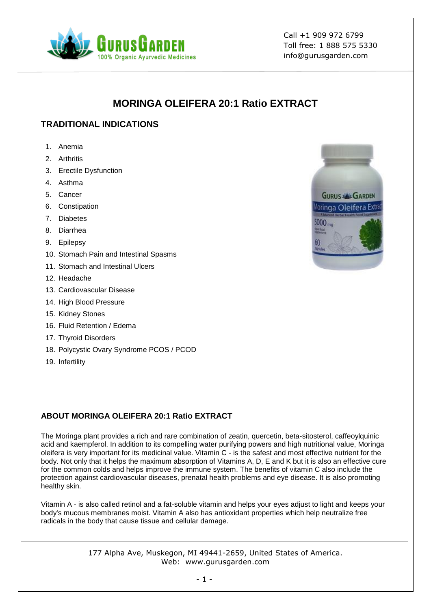

Call +1 909 972 6799 Toll free: 1 888 575 5330 info@gurusgarden.com

# **MORINGA OLEIFERA 20:1 Ratio EXTRACT**

## **TRADITIONAL INDICATIONS**

- 1. Anemia
- 2. Arthritis
- 3. Erectile Dysfunction
- 4. Asthma
- 5. Cancer
- 6. Constipation
- 7. Diabetes
- 8. Diarrhea
- 9. Epilepsy
- 10. Stomach Pain and Intestinal Spasms
- 11. Stomach and Intestinal Ulcers
- 12. Headache
- 13. Cardiovascular Disease
- 14. High Blood Pressure
- 15. Kidney Stones
- 16. Fluid Retention / Edema
- 17. Thyroid Disorders
- 18. Polycystic Ovary Syndrome PCOS / PCOD
- 19. Infertility



### **ABOUT MORINGA OLEIFERA 20:1 Ratio EXTRACT**

The Moringa plant provides a rich and rare combination of zeatin, quercetin, beta-sitosterol, caffeoylquinic acid and kaempferol. In addition to its compelling water purifying powers and high nutritional value, Moringa oleifera is very important for its medicinal value. Vitamin C - is the safest and most effective nutrient for the body. Not only that it helps the maximum absorption of Vitamins A, D, E and K but it is also an effective cure for the common colds and helps improve the immune system. The benefits of vitamin C also include the protection against cardiovascular diseases, prenatal health problems and eye disease. It is also promoting healthy skin.

Vitamin A - is also called retinol and a fat-soluble vitamin and helps your eyes adjust to light and keeps your body's mucous membranes moist. Vitamin A also has antioxidant properties which help neutralize free radicals in the body that cause tissue and cellular damage.

> 177 Alpha Ave, Muskegon, MI 49441-2659, United States of America. Web: www.gurusgarden.com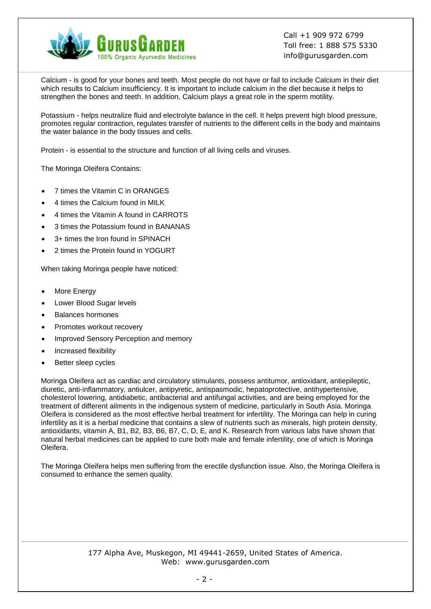

Call +1 909 972 6799 Toll free: 1 888 575 5330 info@gurusgarden.com

Calcium - is good for your bones and teeth. Most people do not have or fail to include Calcium in their diet which results to Calcium insufficiency. It is important to include calcium in the diet because it helps to strengthen the bones and teeth. In addition, Calcium plays a great role in the sperm motility.

Potassium - helps neutralize fluid and electrolyte balance in the cell. It helps prevent high blood pressure, promotes regular contraction, regulates transfer of nutrients to the different cells in the body and maintains the water balance in the body tissues and cells.

Protein - is essential to the structure and function of all living cells and viruses.

The Moringa Oleifera Contains:

- 7 times the Vitamin C in ORANGES
- 4 times the Calcium found in MILK
- 4 times the Vitamin A found in CARROTS
- 3 times the Potassium found in BANANAS
- 3+ times the Iron found in SPINACH
- 2 times the Protein found in YOGURT

When taking Moringa people have noticed:

- More Energy
- Lower Blood Sugar levels
- Balances hormones
- Promotes workout recovery
- Improved Sensory Perception and memory
- Increased flexibility
- Better sleep cycles

Moringa Oleifera act as cardiac and circulatory stimulants, possess antitumor, antioxidant, antiepileptic, diuretic, anti-inflammatory, antiulcer, antipyretic, antispasmodic, hepatoprotective, antihypertensive, cholesterol lowering, antidiabetic, antibacterial and antifungal activities, and are being employed for the treatment of different ailments in the indigenous system of medicine, particularly in South Asia. Moringa Oleifera is considered as the most effective herbal treatment for infertility. The Moringa can help in curing infertility as it is a herbal medicine that contains a slew of nutrients such as minerals, high protein density, antioxidants, vitamin A, B1, B2, B3, B6, B7, C, D, E, and K. Research from various labs have shown that natural herbal medicines can be applied to cure both male and female infertility, one of which is Moringa Oleifera.

The Moringa Oleifera helps men suffering from the erectile dysfunction issue. Also, the Moringa Oleifera is consumed to enhance the semen quality.

#### 177 Alpha Ave, Muskegon, MI 49441-2659, United States of America. Web: www.gurusgarden.com